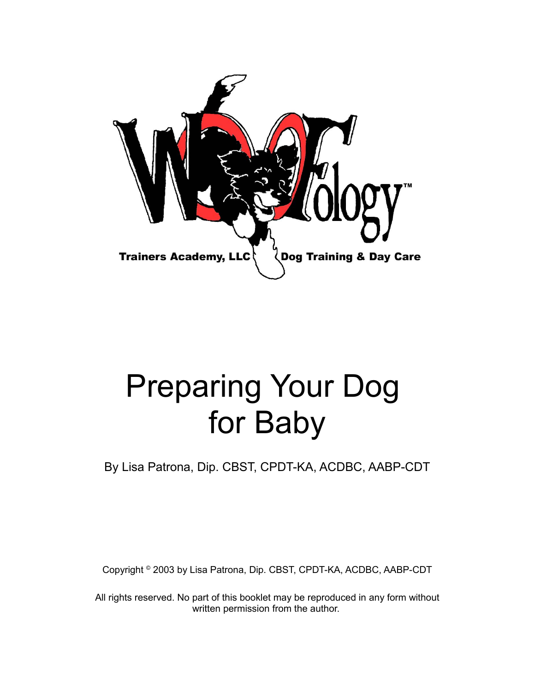

# Preparing Your Dog for Baby

By Lisa Patrona, Dip. CBST, CPDT-KA, ACDBC, AABP-CDT

Copyright © 2003 by Lisa Patrona, Dip. CBST, CPDT-KA, ACDBC, AABP-CDT

All rights reserved. No part of this booklet may be reproduced in any form without written permission from the author.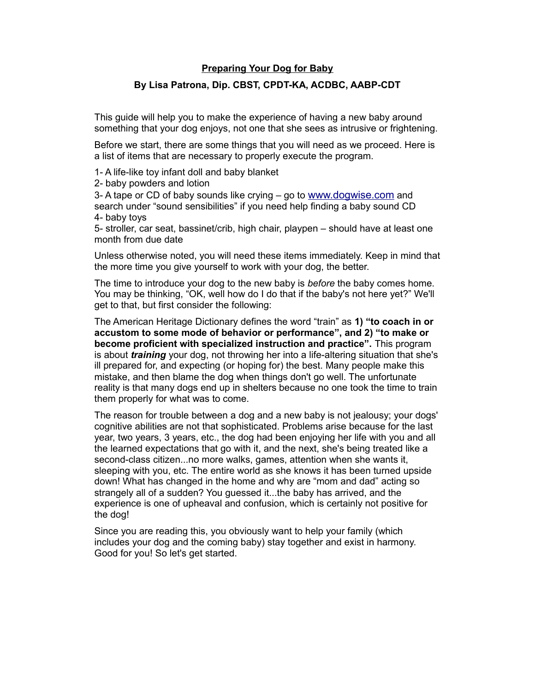### **Preparing Your Dog for Baby**

#### **By Lisa Patrona, Dip. CBST, CPDT-KA, ACDBC, AABP-CDT**

This guide will help you to make the experience of having a new baby around something that your dog enjoys, not one that she sees as intrusive or frightening.

Before we start, there are some things that you will need as we proceed. Here is a list of items that are necessary to properly execute the program.

1- A life-like toy infant doll and baby blanket

2- baby powders and lotion

3- A tape or CD of baby sounds like crying – go to [www.dogwise.com](http://www.dogwise.com/) and search under "sound sensibilities" if you need help finding a baby sound CD 4- baby toys

5- stroller, car seat, bassinet/crib, high chair, playpen – should have at least one month from due date

Unless otherwise noted, you will need these items immediately. Keep in mind that the more time you give yourself to work with your dog, the better.

The time to introduce your dog to the new baby is *before* the baby comes home. You may be thinking, "OK, well how do I do that if the baby's not here yet?" We'll get to that, but first consider the following:

The American Heritage Dictionary defines the word "train" as **1) "to coach in or accustom to some mode of behavior or performance", and 2) "to make or become proficient with specialized instruction and practice".** This program is about *training* your dog, not throwing her into a life-altering situation that she's ill prepared for, and expecting (or hoping for) the best. Many people make this mistake, and then blame the dog when things don't go well. The unfortunate reality is that many dogs end up in shelters because no one took the time to train them properly for what was to come.

The reason for trouble between a dog and a new baby is not jealousy; your dogs' cognitive abilities are not that sophisticated. Problems arise because for the last year, two years, 3 years, etc., the dog had been enjoying her life with you and all the learned expectations that go with it, and the next, she's being treated like a second-class citizen...no more walks, games, attention when she wants it, sleeping with you, etc. The entire world as she knows it has been turned upside down! What has changed in the home and why are "mom and dad" acting so strangely all of a sudden? You guessed it...the baby has arrived, and the experience is one of upheaval and confusion, which is certainly not positive for the dog!

Since you are reading this, you obviously want to help your family (which includes your dog and the coming baby) stay together and exist in harmony. Good for you! So let's get started.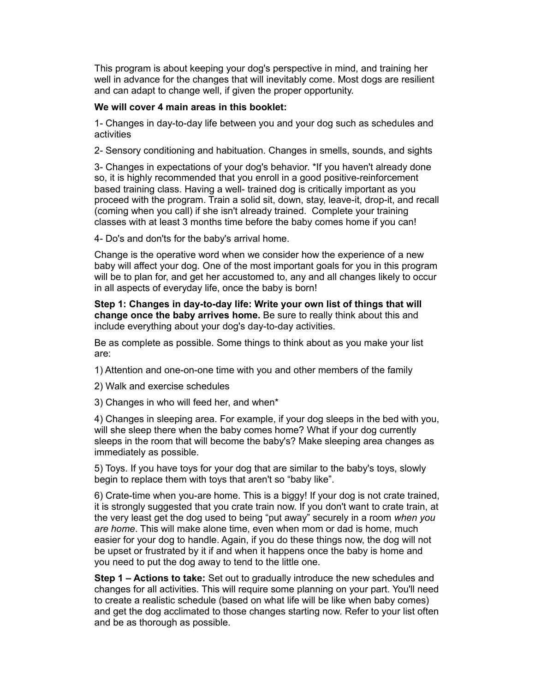This program is about keeping your dog's perspective in mind, and training her well in advance for the changes that will inevitably come. Most dogs are resilient and can adapt to change well, if given the proper opportunity.

#### **We will cover 4 main areas in this booklet:**

1- Changes in day-to-day life between you and your dog such as schedules and activities

2- Sensory conditioning and habituation. Changes in smells, sounds, and sights

3- Changes in expectations of your dog's behavior. \*If you haven't already done so, it is highly recommended that you enroll in a good positive-reinforcement based training class. Having a well- trained dog is critically important as you proceed with the program. Train a solid sit, down, stay, leave-it, drop-it, and recall (coming when you call) if she isn't already trained. Complete your training classes with at least 3 months time before the baby comes home if you can!

4- Do's and don'ts for the baby's arrival home.

Change is the operative word when we consider how the experience of a new baby will affect your dog. One of the most important goals for you in this program will be to plan for, and get her accustomed to, any and all changes likely to occur in all aspects of everyday life, once the baby is born!

**Step 1: Changes in day-to-day life: Write your own list of things that will change once the baby arrives home.** Be sure to really think about this and include everything about your dog's day-to-day activities.

Be as complete as possible. Some things to think about as you make your list are:

1) Attention and one-on-one time with you and other members of the family

2) Walk and exercise schedules

3) Changes in who will feed her, and when\*

4) Changes in sleeping area. For example, if your dog sleeps in the bed with you, will she sleep there when the baby comes home? What if your dog currently sleeps in the room that will become the baby's? Make sleeping area changes as immediately as possible.

5) Toys. If you have toys for your dog that are similar to the baby's toys, slowly begin to replace them with toys that aren't so "baby like".

6) Crate-time when you-are home. This is a biggy! If your dog is not crate trained, it is strongly suggested that you crate train now. If you don't want to crate train, at the very least get the dog used to being "put away" securely in a room *when you are home*. This will make alone time, even when mom or dad is home, much easier for your dog to handle. Again, if you do these things now, the dog will not be upset or frustrated by it if and when it happens once the baby is home and you need to put the dog away to tend to the little one.

**Step 1 – Actions to take:** Set out to gradually introduce the new schedules and changes for all activities. This will require some planning on your part. You'll need to create a realistic schedule (based on what life will be like when baby comes) and get the dog acclimated to those changes starting now. Refer to your list often and be as thorough as possible.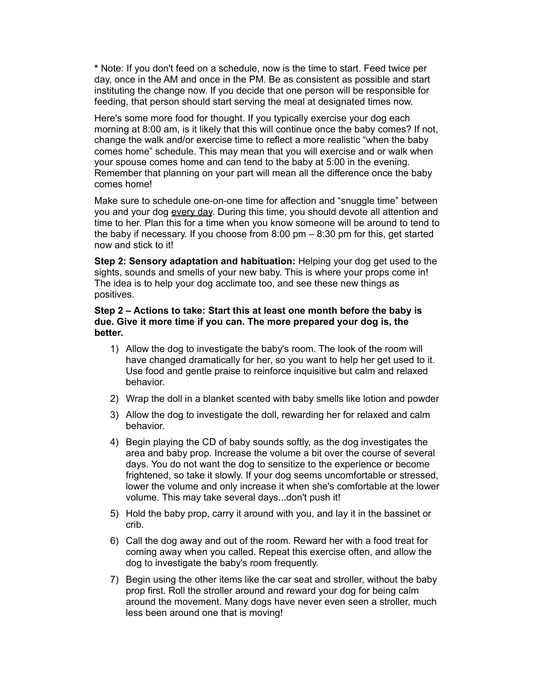**\*** Note: If you don't feed on a schedule, now is the time to start. Feed twice per day, once in the AM and once in the PM. Be as consistent as possible and start instituting the change now. If you decide that one person will be responsible for feeding, that person should start serving the meal at designated times now.

Here's some more food for thought. If you typically exercise your dog each morning at 8:00 am, is it likely that this will continue once the baby comes? If not, change the walk and/or exercise time to reflect a more realistic "when the baby comes home" schedule. This may mean that you will exercise and or walk when your spouse comes home and can tend to the baby at 5:00 in the evening. Remember that planning on your part will mean all the difference once the baby comes home!

Make sure to schedule one-on-one time for affection and "snuggle time" between you and your dog every day. During this time, you should devote all attention and time to her. Plan this for a time when you know someone will be around to tend to the baby if necessary. If you choose from 8:00 pm – 8:30 pm for this, get started now and stick to it!

**Step 2: Sensory adaptation and habituation:** Helping your dog get used to the sights, sounds and smells of your new baby. This is where your props come in! The idea is to help your dog acclimate too, and see these new things as positives.

#### **Step 2 – Actions to take: Start this at least one month before the baby is due. Give it more time if you can. The more prepared your dog is, the better.**

- 1) Allow the dog to investigate the baby's room. The look of the room will have changed dramatically for her, so you want to help her get used to it. Use food and gentle praise to reinforce inquisitive but calm and relaxed behavior.
- 2) Wrap the doll in a blanket scented with baby smells like lotion and powder
- 3) Allow the dog to investigate the doll, rewarding her for relaxed and calm behavior.
- 4) Begin playing the CD of baby sounds softly, as the dog investigates the area and baby prop. Increase the volume a bit over the course of several days. You do not want the dog to sensitize to the experience or become frightened, so take it slowly. If your dog seems uncomfortable or stressed, lower the volume and only increase it when she's comfortable at the lower volume. This may take several days...don't push it!
- 5) Hold the baby prop, carry it around with you, and lay it in the bassinet or crib.
- 6) Call the dog away and out of the room. Reward her with a food treat for coming away when you called. Repeat this exercise often, and allow the dog to investigate the baby's room frequently.
- 7) Begin using the other items like the car seat and stroller, without the baby prop first. Roll the stroller around and reward your dog for being calm around the movement. Many dogs have never even seen a stroller, much less been around one that is moving!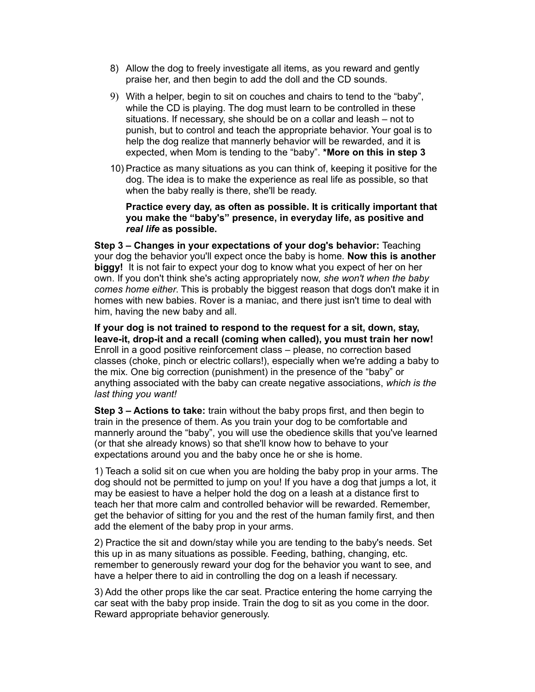- 8) Allow the dog to freely investigate all items, as you reward and gently praise her, and then begin to add the doll and the CD sounds.
- 9) With a helper, begin to sit on couches and chairs to tend to the "baby", while the CD is playing. The dog must learn to be controlled in these situations. If necessary, she should be on a collar and leash – not to punish, but to control and teach the appropriate behavior. Your goal is to help the dog realize that mannerly behavior will be rewarded, and it is expected, when Mom is tending to the "baby". **\*More on this in step 3**
- 10) Practice as many situations as you can think of, keeping it positive for the dog. The idea is to make the experience as real life as possible, so that when the baby really is there, she'll be ready.

#### **Practice every day, as often as possible. It is critically important that you make the "baby's" presence, in everyday life, as positive and**  *real life* **as possible.**

**Step 3 – Changes in your expectations of your dog's behavior:** Teaching your dog the behavior you'll expect once the baby is home. **Now this is another biggy!** It is not fair to expect your dog to know what you expect of her on her own. If you don't think she's acting appropriately now, *she won't when the baby comes home either*. This is probably the biggest reason that dogs don't make it in homes with new babies. Rover is a maniac, and there just isn't time to deal with him, having the new baby and all.

**If your dog is not trained to respond to the request for a sit, down, stay, leave-it, drop-it and a recall (coming when called), you must train her now!**  Enroll in a good positive reinforcement class – please, no correction based classes (choke, pinch or electric collars!), especially when we're adding a baby to the mix. One big correction (punishment) in the presence of the "baby" or anything associated with the baby can create negative associations, *which is the last thing you want!*

**Step 3 – Actions to take:** train without the baby props first, and then begin to train in the presence of them. As you train your dog to be comfortable and mannerly around the "baby", you will use the obedience skills that you've learned (or that she already knows) so that she'll know how to behave to your expectations around you and the baby once he or she is home.

1) Teach a solid sit on cue when you are holding the baby prop in your arms. The dog should not be permitted to jump on you! If you have a dog that jumps a lot, it may be easiest to have a helper hold the dog on a leash at a distance first to teach her that more calm and controlled behavior will be rewarded. Remember, get the behavior of sitting for you and the rest of the human family first, and then add the element of the baby prop in your arms.

2) Practice the sit and down/stay while you are tending to the baby's needs. Set this up in as many situations as possible. Feeding, bathing, changing, etc. remember to generously reward your dog for the behavior you want to see, and have a helper there to aid in controlling the dog on a leash if necessary.

3) Add the other props like the car seat. Practice entering the home carrying the car seat with the baby prop inside. Train the dog to sit as you come in the door. Reward appropriate behavior generously.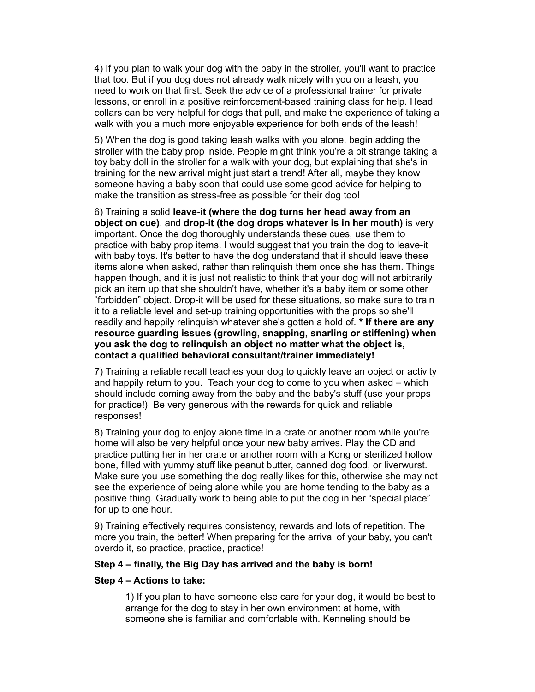4) If you plan to walk your dog with the baby in the stroller, you'll want to practice that too. But if you dog does not already walk nicely with you on a leash, you need to work on that first. Seek the advice of a professional trainer for private lessons, or enroll in a positive reinforcement-based training class for help. Head collars can be very helpful for dogs that pull, and make the experience of taking a walk with you a much more enjoyable experience for both ends of the leash!

5) When the dog is good taking leash walks with you alone, begin adding the stroller with the baby prop inside. People might think you're a bit strange taking a toy baby doll in the stroller for a walk with your dog, but explaining that she's in training for the new arrival might just start a trend! After all, maybe they know someone having a baby soon that could use some good advice for helping to make the transition as stress-free as possible for their dog too!

6) Training a solid **leave-it (where the dog turns her head away from an object on cue)**, and **drop-it (the dog drops whatever is in her mouth)** is very important. Once the dog thoroughly understands these cues, use them to practice with baby prop items. I would suggest that you train the dog to leave-it with baby toys. It's better to have the dog understand that it should leave these items alone when asked, rather than relinquish them once she has them. Things happen though, and it is just not realistic to think that your dog will not arbitrarily pick an item up that she shouldn't have, whether it's a baby item or some other "forbidden" object. Drop-it will be used for these situations, so make sure to train it to a reliable level and set-up training opportunities with the props so she'll readily and happily relinquish whatever she's gotten a hold of. **\* If there are any resource guarding issues (growling, snapping, snarling or stiffening) when you ask the dog to relinquish an object no matter what the object is, contact a qualified behavioral consultant/trainer immediately!**

7) Training a reliable recall teaches your dog to quickly leave an object or activity and happily return to you. Teach your dog to come to you when asked – which should include coming away from the baby and the baby's stuff (use your props for practice!) Be very generous with the rewards for quick and reliable responses!

8) Training your dog to enjoy alone time in a crate or another room while you're home will also be very helpful once your new baby arrives. Play the CD and practice putting her in her crate or another room with a Kong or sterilized hollow bone, filled with yummy stuff like peanut butter, canned dog food, or liverwurst. Make sure you use something the dog really likes for this, otherwise she may not see the experience of being alone while you are home tending to the baby as a positive thing. Gradually work to being able to put the dog in her "special place" for up to one hour.

9) Training effectively requires consistency, rewards and lots of repetition. The more you train, the better! When preparing for the arrival of your baby, you can't overdo it, so practice, practice, practice!

#### **Step 4 – finally, the Big Day has arrived and the baby is born!**

#### **Step 4 – Actions to take:**

1) If you plan to have someone else care for your dog, it would be best to arrange for the dog to stay in her own environment at home, with someone she is familiar and comfortable with. Kenneling should be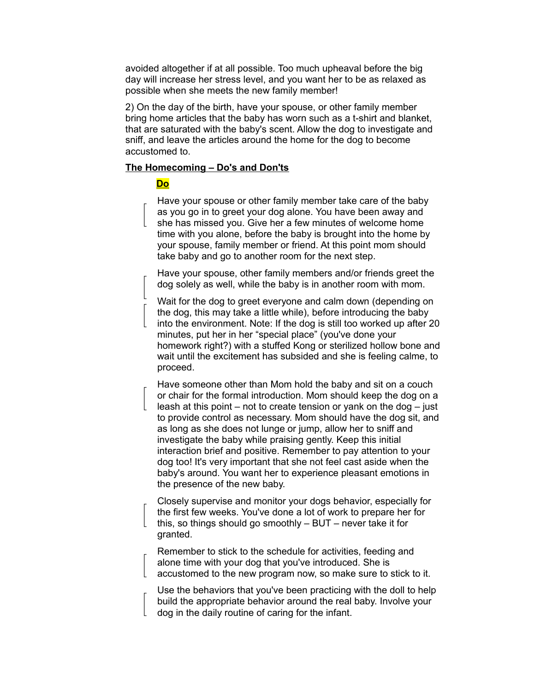avoided altogether if at all possible. Too much upheaval before the big day will increase her stress level, and you want her to be as relaxed as possible when she meets the new family member!

2) On the day of the birth, have your spouse, or other family member bring home articles that the baby has worn such as a t-shirt and blanket, that are saturated with the baby's scent. Allow the dog to investigate and sniff, and leave the articles around the home for the dog to become accustomed to.

### **The Homecoming – Do's and Don'ts**

## **Do**

- Have your spouse or other family member take care of the baby as you go in to greet your dog alone. You have been away and
- she has missed you. Give her a few minutes of welcome home time with you alone, before the baby is brought into the home by your spouse, family member or friend. At this point mom should take baby and go to another room for the next step.
- Have your spouse, other family members and/or friends greet the dog solely as well, while the baby is in another room with mom.
- Wait for the dog to greet everyone and calm down (depending on the dog, this may take a little while), before introducing the baby
- into the environment. Note: If the dog is still too worked up after 20 minutes, put her in her "special place" (you've done your homework right?) with a stuffed Kong or sterilized hollow bone and wait until the excitement has subsided and she is feeling calme, to proceed.
- Have someone other than Mom hold the baby and sit on a couch or chair for the formal introduction. Mom should keep the dog on a
- leash at this point not to create tension or yank on the dog just to provide control as necessary. Mom should have the dog sit, and as long as she does not lunge or jump, allow her to sniff and investigate the baby while praising gently. Keep this initial interaction brief and positive. Remember to pay attention to your dog too! It's very important that she not feel cast aside when the baby's around. You want her to experience pleasant emotions in the presence of the new baby.
- Closely supervise and monitor your dogs behavior, especially for the first few weeks. You've done a lot of work to prepare her for this, so things should go smoothly – BUT – never take it for granted.
- Remember to stick to the schedule for activities, feeding and alone time with your dog that you've introduced. She is
- $\lfloor$  accustomed to the new program now, so make sure to stick to it.
- Use the behaviors that you've been practicing with the doll to help build the appropriate behavior around the real baby. Involve your
- dog in the daily routine of caring for the infant.